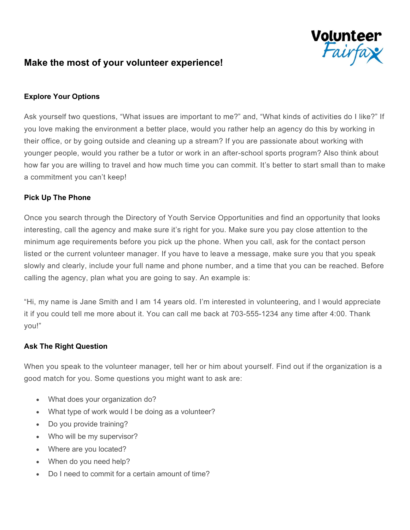

# **Make the most of your volunteer experience!**

## **Explore Your Options**

Ask yourself two questions, "What issues are important to me?" and, "What kinds of activities do I like?" If you love making the environment a better place, would you rather help an agency do this by working in their office, or by going outside and cleaning up a stream? If you are passionate about working with younger people, would you rather be a tutor or work in an after-school sports program? Also think about how far you are willing to travel and how much time you can commit. It's better to start small than to make a commitment you can't keep!

#### **Pick Up The Phone**

Once you search through the Directory of Youth Service Opportunities and find an opportunity that looks interesting, call the agency and make sure it's right for you. Make sure you pay close attention to the minimum age requirements before you pick up the phone. When you call, ask for the contact person listed or the current volunteer manager. If you have to leave a message, make sure you that you speak slowly and clearly, include your full name and phone number, and a time that you can be reached. Before calling the agency, plan what you are going to say. An example is:

"Hi, my name is Jane Smith and I am 14 years old. I'm interested in volunteering, and I would appreciate it if you could tell me more about it. You can call me back at 703-555-1234 any time after 4:00. Thank you!"

#### **Ask The Right Question**

When you speak to the volunteer manager, tell her or him about yourself. Find out if the organization is a good match for you. Some questions you might want to ask are:

- What does your organization do?
- What type of work would I be doing as a volunteer?
- Do you provide training?
- Who will be my supervisor?
- Where are you located?
- When do you need help?
- Do I need to commit for a certain amount of time?